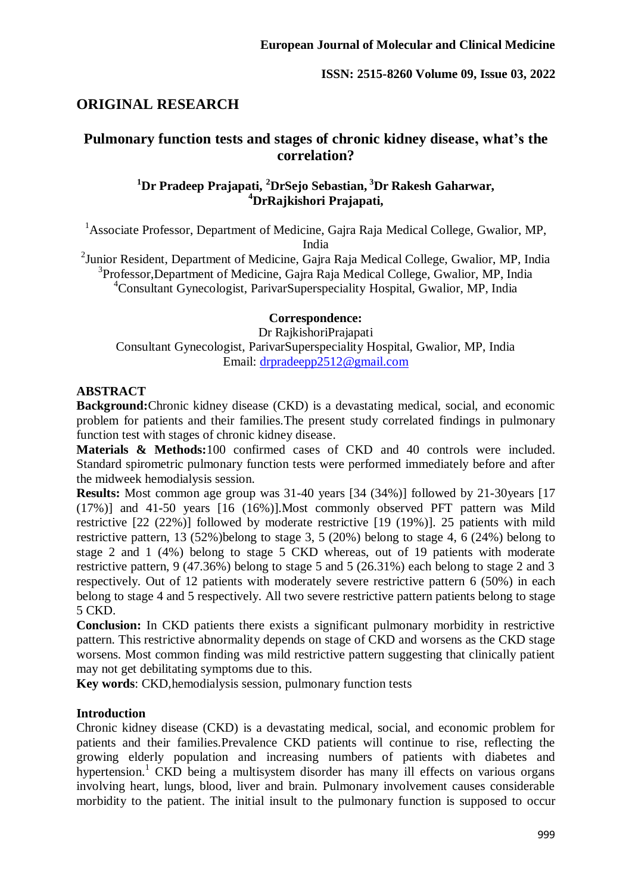# **ORIGINAL RESEARCH**

# **Pulmonary function tests and stages of chronic kidney disease, what's the correlation?**

# **<sup>1</sup>Dr Pradeep Prajapati, <sup>2</sup>DrSejo Sebastian, <sup>3</sup>Dr Rakesh Gaharwar, <sup>4</sup>DrRajkishori Prajapati,**

<sup>1</sup> Associate Professor, Department of Medicine, Gajra Raja Medical College, Gwalior, MP, India

<sup>2</sup> Junior Resident, Department of Medicine, Gajra Raja Medical College, Gwalior, MP, India <sup>3</sup>Professor,Department of Medicine, Gajra Raja Medical College, Gwalior, MP, India <sup>4</sup>Consultant Gynecologist, ParivarSuperspeciality Hospital, Gwalior, MP, India

#### **Correspondence:**

Dr RajkishoriPrajapati Consultant Gynecologist, ParivarSuperspeciality Hospital, Gwalior, MP, India Email: [drpradeepp2512@gmail.com](mailto:drpradeepp2512@gmail.com)

## **ABSTRACT**

**Background:**Chronic kidney disease (CKD) is a devastating medical, social, and economic problem for patients and their families*.*The present study correlated findings in pulmonary function test with stages of chronic kidney disease.

**Materials & Methods:**100 confirmed cases of CKD and 40 controls were included. Standard spirometric pulmonary function tests were performed immediately before and after the midweek hemodialysis session.

**Results:** Most common age group was 31-40 years [34 (34%)] followed by 21-30years [17 (17%)] and 41-50 years [16 (16%)].Most commonly observed PFT pattern was Mild restrictive [22 (22%)] followed by moderate restrictive [19 (19%)]. 25 patients with mild restrictive pattern, 13 (52%)belong to stage 3, 5 (20%) belong to stage 4, 6 (24%) belong to stage 2 and 1 (4%) belong to stage 5 CKD whereas, out of 19 patients with moderate restrictive pattern, 9 (47.36%) belong to stage 5 and 5 (26.31%) each belong to stage 2 and 3 respectively. Out of 12 patients with moderately severe restrictive pattern 6 (50%) in each belong to stage 4 and 5 respectively. All two severe restrictive pattern patients belong to stage 5 CKD.

**Conclusion:** In CKD patients there exists a significant pulmonary morbidity in restrictive pattern. This restrictive abnormality depends on stage of CKD and worsens as the CKD stage worsens. Most common finding was mild restrictive pattern suggesting that clinically patient may not get debilitating symptoms due to this.

**Key words**: CKD,hemodialysis session, pulmonary function tests

#### **Introduction**

Chronic kidney disease (CKD) is a devastating medical, social, and economic problem for patients and their families*.*Prevalence CKD patients will continue to rise, reflecting the growing elderly population and increasing numbers of patients with diabetes and hypertension.<sup>1</sup> CKD being a multisystem disorder has many ill effects on various organs involving heart, lungs, blood, liver and brain. Pulmonary involvement causes considerable morbidity to the patient. The initial insult to the pulmonary function is supposed to occur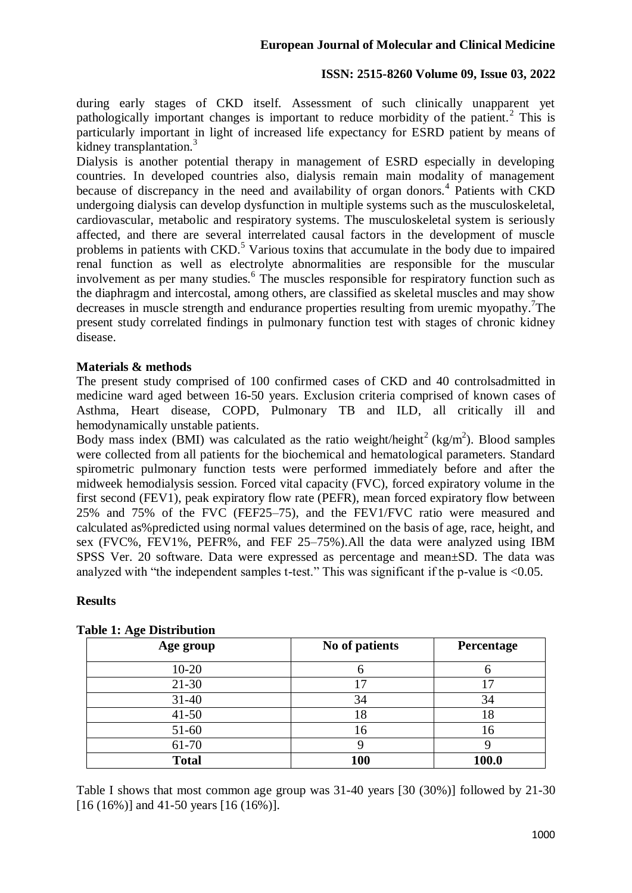during early stages of CKD itself. Assessment of such clinically unapparent yet pathologically important changes is important to reduce morbidity of the patient.<sup>2</sup> This is particularly important in light of increased life expectancy for ESRD patient by means of kidney transplantation. $3$ 

Dialysis is another potential therapy in management of ESRD especially in developing countries. In developed countries also, dialysis remain main modality of management because of discrepancy in the need and availability of organ donors.<sup>4</sup> Patients with CKD undergoing dialysis can develop dysfunction in multiple systems such as the musculoskeletal, cardiovascular, metabolic and respiratory systems. The musculoskeletal system is seriously affected, and there are several interrelated causal factors in the development of muscle problems in patients with  $CKD$ <sup>5</sup>. Various toxins that accumulate in the body due to impaired renal function as well as electrolyte abnormalities are responsible for the muscular involvement as per many studies.<sup>6</sup> The muscles responsible for respiratory function such as the diaphragm and intercostal, among others, are classified as skeletal muscles and may show decreases in muscle strength and endurance properties resulting from uremic myopathy.<sup>7</sup>The present study correlated findings in pulmonary function test with stages of chronic kidney disease.

## **Materials & methods**

The present study comprised of 100 confirmed cases of CKD and 40 controlsadmitted in medicine ward aged between 16-50 years. Exclusion criteria comprised of known cases of Asthma, Heart disease, COPD, Pulmonary TB and ILD, all critically ill and hemodynamically unstable patients.

Body mass index (BMI) was calculated as the ratio weight/height<sup>2</sup> (kg/m<sup>2</sup>). Blood samples were collected from all patients for the biochemical and hematological parameters. Standard spirometric pulmonary function tests were performed immediately before and after the midweek hemodialysis session. Forced vital capacity (FVC), forced expiratory volume in the first second (FEV1), peak expiratory flow rate (PEFR), mean forced expiratory flow between 25% and 75% of the FVC (FEF25–75), and the FEV1/FVC ratio were measured and calculated as%predicted using normal values determined on the basis of age, race, height, and sex (FVC%, FEV1%, PEFR%, and FEF 25–75%).All the data were analyzed using IBM SPSS Ver. 20 software. Data were expressed as percentage and mean±SD. The data was analyzed with "the independent samples t-test." This was significant if the p-value is <0.05.

#### **Results**

| Age group    | No of patients | Percentage |
|--------------|----------------|------------|
| $10 - 20$    |                |            |
| $21 - 30$    |                |            |
| $31 - 40$    | 34             | 34         |
| $41 - 50$    | 18             | 18         |
| 51-60        | 16             | 16         |
| 61-70        |                |            |
| <b>Total</b> | 100            | 100.0      |

#### **Table 1: Age Distribution**

Table I shows that most common age group was 31-40 years [30 (30%)] followed by 21-30 [16 (16%)] and 41-50 years [16 (16%)].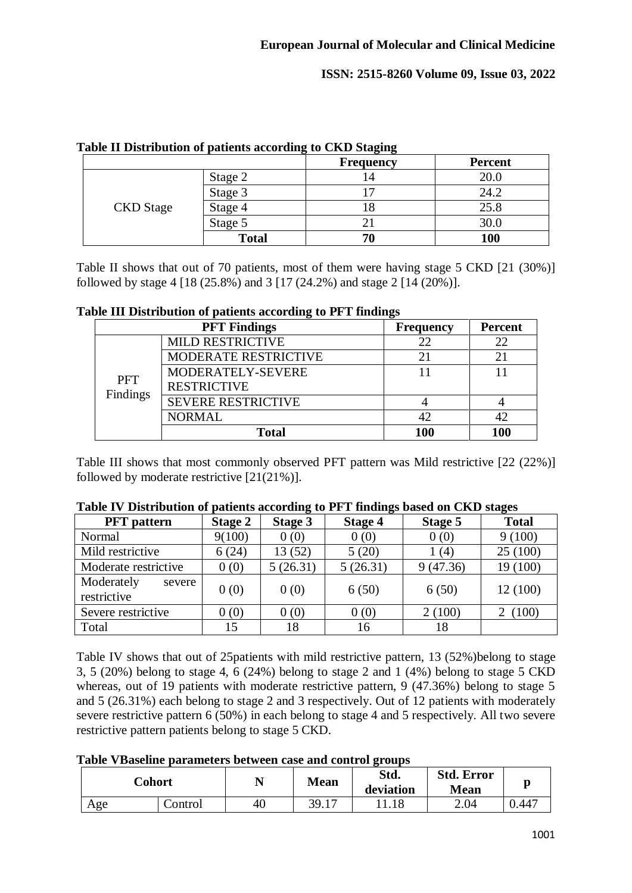|                  |              | <b>Frequency</b> | <b>Percent</b> |
|------------------|--------------|------------------|----------------|
|                  | Stage 2      | . 4              | 20.0           |
|                  | Stage 3      |                  | 24.2           |
| <b>CKD</b> Stage | Stage 4      |                  | 25.8           |
|                  | Stage 5      |                  | 30.0           |
|                  | <b>Total</b> | 70               | 100            |

|  |  |  |  | Table II Distribution of patients according to CKD Staging |
|--|--|--|--|------------------------------------------------------------|
|  |  |  |  |                                                            |

Table II shows that out of 70 patients, most of them were having stage 5 CKD [21 (30%)] followed by stage 4 [18 (25.8%) and 3 [17 (24.2%) and stage 2 [14 (20%)].

#### **Table III Distribution of patients according to PFT findings**

|                        | ີ<br><b>PFT Findings</b> | ີ<br><b>Frequency</b> | <b>Percent</b> |
|------------------------|--------------------------|-----------------------|----------------|
|                        | <b>MILD RESTRICTIVE</b>  | 22                    | 22             |
| <b>PFT</b><br>Findings | MODERATE RESTRICTIVE     |                       |                |
|                        | MODERATELY-SEVERE        |                       |                |
|                        | <b>RESTRICTIVE</b>       |                       |                |
|                        | SEVERE RESTRICTIVE       |                       |                |
|                        | <b>NORMAL</b>            | 42                    |                |
|                        | <b>Total</b>             | 100                   | 100            |

Table III shows that most commonly observed PFT pattern was Mild restrictive [22 (22%)] followed by moderate restrictive [21(21%)].

| <b>PFT</b> pattern                  | <b>Stage 2</b> | Stage 3  | <b>Stage 4</b> | Stage 5  | <b>Total</b> |
|-------------------------------------|----------------|----------|----------------|----------|--------------|
| Normal                              | 9(100)         | 0(0)     | 0(0)           | 0(0)     | 9(100)       |
| Mild restrictive                    | 6(24)          | 13(52)   | 5(20)          | 1 (4)    | 25(100)      |
| Moderate restrictive                | 0(0)           | 5(26.31) | 5(26.31)       | 9(47.36) | 19 (100)     |
| Moderately<br>severe<br>restrictive | 0(0)           | 0(0)     | 6(50)          | 6(50)    | 12 (100)     |
| Severe restrictive                  | 0(0)           | 0(0)     | 0(0)           | 2(100)   | 2(100)       |
| Total                               | 15             | 18       | 16             | 18       |              |

#### **Table IV Distribution of patients according to PFT findings based on CKD stages**

Table IV shows that out of 25patients with mild restrictive pattern, 13 (52%)belong to stage 3, 5 (20%) belong to stage 4, 6 (24%) belong to stage 2 and 1 (4%) belong to stage 5 CKD whereas, out of 19 patients with moderate restrictive pattern, 9 (47.36%) belong to stage 5 and 5 (26.31%) each belong to stage 2 and 3 respectively. Out of 12 patients with moderately severe restrictive pattern 6 (50%) in each belong to stage 4 and 5 respectively. All two severe restrictive pattern patients belong to stage 5 CKD.

| Table VBaseline parameters between case and control groups |
|------------------------------------------------------------|
|------------------------------------------------------------|

|     | Cohort  | <b>A</b> 1 | <b>Mean</b> | Std.<br>deviation | <b>Std. Error</b><br><b>Mean</b> |       |
|-----|---------|------------|-------------|-------------------|----------------------------------|-------|
| Age | Control | 40         | 39.17       |                   | 2.04                             | 0.447 |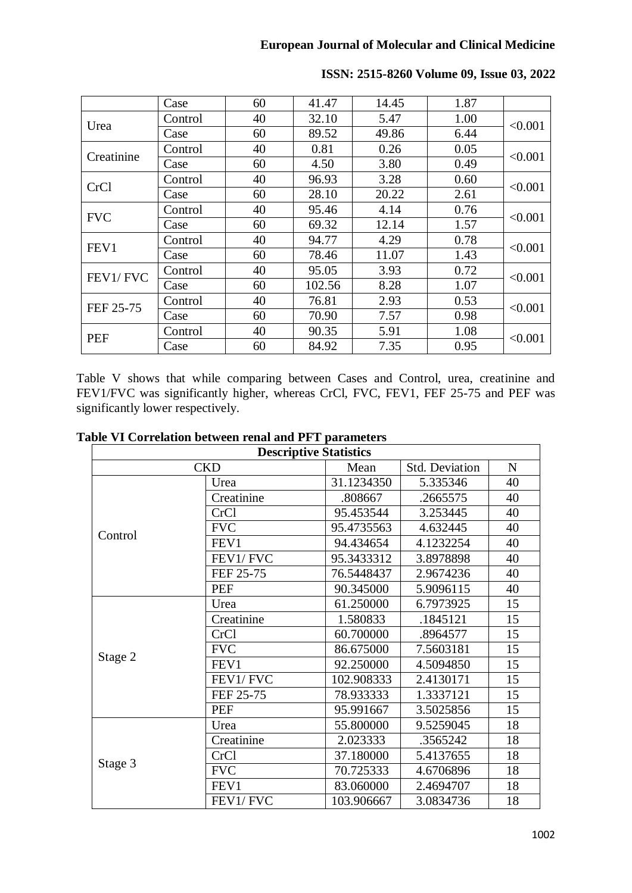|             | Case    | 60 | 41.47  | 14.45 | 1.87 |         |
|-------------|---------|----|--------|-------|------|---------|
| Urea        | Control | 40 | 32.10  | 5.47  | 1.00 | < 0.001 |
|             | Case    | 60 | 89.52  | 49.86 | 6.44 |         |
| Creatinine  | Control | 40 | 0.81   | 0.26  | 0.05 | < 0.001 |
|             | Case    | 60 | 4.50   | 3.80  | 0.49 |         |
| <b>CrCl</b> | Control | 40 | 96.93  | 3.28  | 0.60 | < 0.001 |
|             | Case    | 60 | 28.10  | 20.22 | 2.61 |         |
| <b>FVC</b>  | Control | 40 | 95.46  | 4.14  | 0.76 | < 0.001 |
|             | Case    | 60 | 69.32  | 12.14 | 1.57 |         |
|             | Control | 40 | 94.77  | 4.29  | 0.78 | < 0.001 |
| FEV1        | Case    | 60 | 78.46  | 11.07 | 1.43 |         |
| FEV1/FVC    | Control | 40 | 95.05  | 3.93  | 0.72 | < 0.001 |
|             | Case    | 60 | 102.56 | 8.28  | 1.07 |         |
| FEF 25-75   | Control | 40 | 76.81  | 2.93  | 0.53 | < 0.001 |
|             | Case    | 60 | 70.90  | 7.57  | 0.98 |         |
| <b>PEF</b>  | Control | 40 | 90.35  | 5.91  | 1.08 | < 0.001 |
|             | Case    | 60 | 84.92  | 7.35  | 0.95 |         |

**ISSN: 2515-8260 Volume 09, Issue 03, 2022**

Table V shows that while comparing between Cases and Control, urea, creatinine and FEV1/FVC was significantly higher, whereas CrCl, FVC, FEV1, FEF 25-75 and PEF was significantly lower respectively.

| <b>Descriptive Statistics</b> |             |            |                       |             |  |  |  |
|-------------------------------|-------------|------------|-----------------------|-------------|--|--|--|
|                               | <b>CKD</b>  | Mean       | <b>Std. Deviation</b> | $\mathbf N$ |  |  |  |
| Control                       | Urea        | 31.1234350 | 5.335346              | 40          |  |  |  |
|                               | Creatinine  | .808667    | .2665575              | 40          |  |  |  |
|                               | CrCl        | 95.453544  | 3.253445              | 40          |  |  |  |
|                               | <b>FVC</b>  | 95.4735563 | 4.632445              | 40          |  |  |  |
|                               | FEV1        | 94.434654  | 4.1232254             | 40          |  |  |  |
|                               | FEV1/FVC    | 95.3433312 | 3.8978898             | 40          |  |  |  |
|                               | FEF 25-75   | 76.5448437 | 2.9674236             | 40          |  |  |  |
|                               | <b>PEF</b>  | 90.345000  | 5.9096115             | 40          |  |  |  |
| Stage 2                       | Urea        | 61.250000  | 6.7973925             | 15          |  |  |  |
|                               | Creatinine  | 1.580833   | .1845121              | 15          |  |  |  |
|                               | <b>CrCl</b> | 60.700000  | .8964577              | 15          |  |  |  |
|                               | <b>FVC</b>  | 86.675000  | 7.5603181             | 15          |  |  |  |
|                               | FEV1        | 92.250000  | 4.5094850             | 15          |  |  |  |
|                               | FEV1/FVC    | 102.908333 | 2.4130171             | 15          |  |  |  |
|                               | FEF 25-75   | 78.933333  | 1.3337121             | 15          |  |  |  |
|                               | PEF         | 95.991667  | 3.5025856             | 15          |  |  |  |
| Stage 3                       | Urea        | 55.800000  | 9.5259045             | 18          |  |  |  |
|                               | Creatinine  | 2.023333   | .3565242              | 18          |  |  |  |
|                               | <b>CrCl</b> | 37.180000  | 5.4137655             | 18          |  |  |  |
|                               | <b>FVC</b>  | 70.725333  | 4.6706896             | 18          |  |  |  |
|                               | FEV1        | 83.060000  | 2.4694707             | 18          |  |  |  |
|                               | FEV1/FVC    | 103.906667 | 3.0834736             | 18          |  |  |  |

|  | Table VI Correlation between renal and PFT parameters |  |  |
|--|-------------------------------------------------------|--|--|
|  |                                                       |  |  |

 $\overline{\phantom{a}}$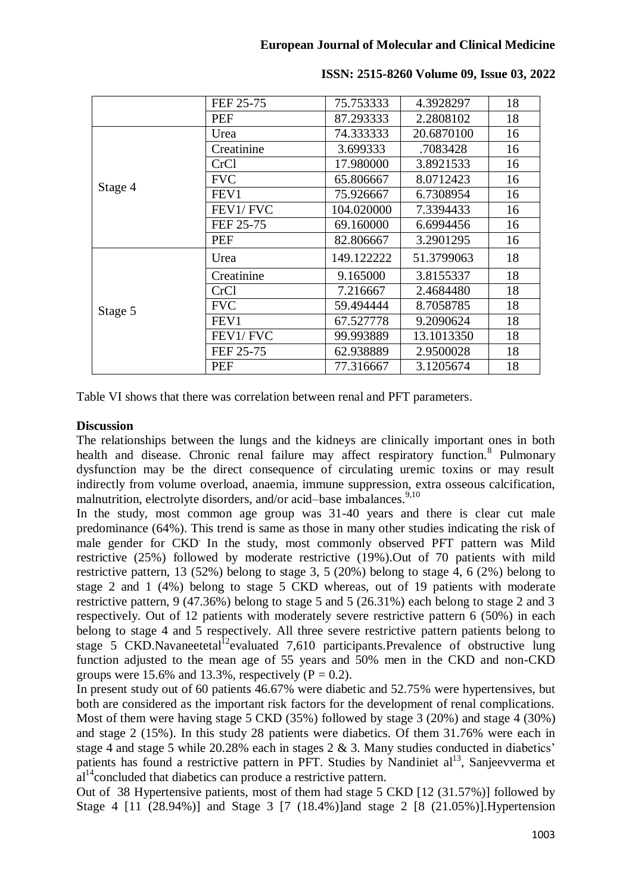|                    | FEF 25-75  | 75.753333  | 4.3928297  | 18 |
|--------------------|------------|------------|------------|----|
|                    | PEF        | 87.293333  | 2.2808102  | 18 |
| Stage 4<br>Stage 5 | Urea       | 74.333333  | 20.6870100 | 16 |
|                    | Creatinine | 3.699333   | .7083428   | 16 |
|                    | CrCl       | 17.980000  | 3.8921533  | 16 |
|                    | <b>FVC</b> | 65.806667  | 8.0712423  | 16 |
|                    | FEV1       | 75.926667  | 6.7308954  | 16 |
|                    | FEV1/FVC   | 104.020000 | 7.3394433  | 16 |
|                    | FEF 25-75  | 69.160000  | 6.6994456  | 16 |
|                    | <b>PEF</b> | 82.806667  | 3.2901295  | 16 |
|                    | Urea       | 149.122222 | 51.3799063 | 18 |
|                    | Creatinine | 9.165000   | 3.8155337  | 18 |
|                    | CrCl       | 7.216667   | 2.4684480  | 18 |
|                    | <b>FVC</b> | 59.494444  | 8.7058785  | 18 |
|                    | FEV1       | 67.527778  | 9.2090624  | 18 |
|                    | FEV1/FVC   | 99.993889  | 13.1013350 | 18 |
|                    | FEF 25-75  | 62.938889  | 2.9500028  | 18 |
|                    | <b>PEF</b> | 77.316667  | 3.1205674  | 18 |

**ISSN: 2515-8260 Volume 09, Issue 03, 2022**

Table VI shows that there was correlation between renal and PFT parameters.

# **Discussion**

The relationships between the lungs and the kidneys are clinically important ones in both health and disease. Chronic renal failure may affect respiratory function.<sup>8</sup> Pulmonary dysfunction may be the direct consequence of circulating uremic toxins or may result indirectly from volume overload, anaemia, immune suppression, extra osseous calcification, malnutrition, electrolyte disorders, and/or acid–base imbalances. 9,10

In the study, most common age group was 31-40 years and there is clear cut male predominance (64%). This trend is same as those in many other studies indicating the risk of male gender for CKD. In the study, most commonly observed PFT pattern was Mild restrictive (25%) followed by moderate restrictive (19%).Out of 70 patients with mild restrictive pattern, 13 (52%) belong to stage 3, 5 (20%) belong to stage 4, 6 (2%) belong to stage 2 and 1 (4%) belong to stage 5 CKD whereas, out of 19 patients with moderate restrictive pattern, 9 (47.36%) belong to stage 5 and 5 (26.31%) each belong to stage 2 and 3 respectively. Out of 12 patients with moderately severe restrictive pattern 6 (50%) in each belong to stage 4 and 5 respectively. All three severe restrictive pattern patients belong to stage 5 CKD.Navaneetetal<sup>12</sup>evaluated 7,610 participants.Prevalence of obstructive lung function adjusted to the mean age of 55 years and 50% men in the CKD and non-CKD groups were 15.6% and 13.3%, respectively ( $P = 0.2$ ).

In present study out of 60 patients 46.67% were diabetic and 52.75% were hypertensives, but both are considered as the important risk factors for the development of renal complications. Most of them were having stage 5 CKD (35%) followed by stage 3 (20%) and stage 4 (30%) and stage 2 (15%). In this study 28 patients were diabetics. Of them 31.76% were each in stage 4 and stage 5 while 20.28% each in stages 2 & 3. Many studies conducted in diabetics' patients has found a restrictive pattern in PFT. Studies by Nandiniet al<sup>13</sup>, Sanjeevverma et  $a^{14}$ concluded that diabetics can produce a restrictive pattern.

Out of 38 Hypertensive patients, most of them had stage 5 CKD [12 (31.57%)] followed by Stage 4 [11 (28.94%)] and Stage 3 [7 (18.4%)]and stage 2 [8 (21.05%)].Hypertension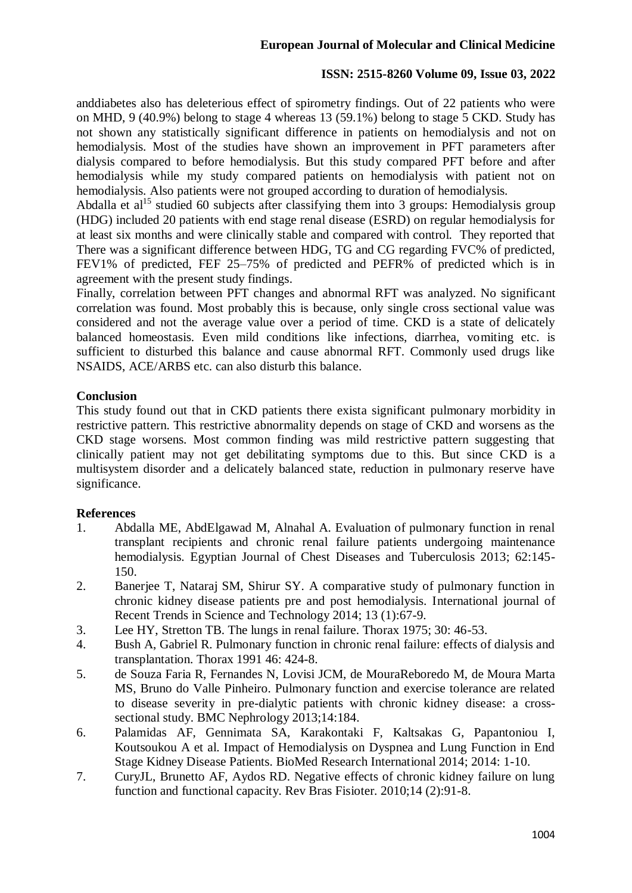anddiabetes also has deleterious effect of spirometry findings. Out of 22 patients who were on MHD, 9 (40.9%) belong to stage 4 whereas 13 (59.1%) belong to stage 5 CKD. Study has not shown any statistically significant difference in patients on hemodialysis and not on hemodialysis. Most of the studies have shown an improvement in PFT parameters after dialysis compared to before hemodialysis. But this study compared PFT before and after hemodialysis while my study compared patients on hemodialysis with patient not on hemodialysis. Also patients were not grouped according to duration of hemodialysis.

Abdalla et al<sup>15</sup> studied 60 subjects after classifying them into 3 groups: Hemodialysis group (HDG) included 20 patients with end stage renal disease (ESRD) on regular hemodialysis for at least six months and were clinically stable and compared with control. They reported that There was a significant difference between HDG, TG and CG regarding FVC% of predicted, FEV1% of predicted, FEF 25–75% of predicted and PEFR% of predicted which is in agreement with the present study findings.

Finally, correlation between PFT changes and abnormal RFT was analyzed. No significant correlation was found. Most probably this is because, only single cross sectional value was considered and not the average value over a period of time. CKD is a state of delicately balanced homeostasis. Even mild conditions like infections, diarrhea, vomiting etc. is sufficient to disturbed this balance and cause abnormal RFT. Commonly used drugs like NSAIDS, ACE/ARBS etc. can also disturb this balance.

## **Conclusion**

This study found out that in CKD patients there exista significant pulmonary morbidity in restrictive pattern. This restrictive abnormality depends on stage of CKD and worsens as the CKD stage worsens. Most common finding was mild restrictive pattern suggesting that clinically patient may not get debilitating symptoms due to this. But since CKD is a multisystem disorder and a delicately balanced state, reduction in pulmonary reserve have significance.

# **References**

- 1. Abdalla ME, AbdElgawad M, Alnahal A. Evaluation of pulmonary function in renal transplant recipients and chronic renal failure patients undergoing maintenance hemodialysis. Egyptian Journal of Chest Diseases and Tuberculosis 2013; 62:145- 150.
- 2. Banerjee T, Nataraj SM, Shirur SY. A comparative study of pulmonary function in chronic kidney disease patients pre and post hemodialysis. International journal of Recent Trends in Science and Technology 2014; 13 (1):67-9.
- 3. Lee HY, Stretton TB. The lungs in renal failure. Thorax 1975; 30: 46-53.
- 4. Bush A, Gabriel R. Pulmonary function in chronic renal failure: effects of dialysis and transplantation. Thorax 1991 46: 424-8.
- 5. de Souza Faria R, Fernandes N, Lovisi JCM, de MouraReboredo M, de Moura Marta MS, Bruno do Valle Pinheiro. Pulmonary function and exercise tolerance are related to disease severity in pre-dialytic patients with chronic kidney disease: a crosssectional study. BMC Nephrology 2013;14:184.
- 6. Palamidas AF, Gennimata SA, Karakontaki F, Kaltsakas G, Papantoniou I, Koutsoukou A et al. Impact of Hemodialysis on Dyspnea and Lung Function in End Stage Kidney Disease Patients. BioMed Research International 2014; 2014: 1-10.
- 7. CuryJL, Brunetto AF, Aydos RD. Negative effects of chronic kidney failure on lung function and functional capacity. Rev Bras Fisioter. 2010;14 (2):91-8.